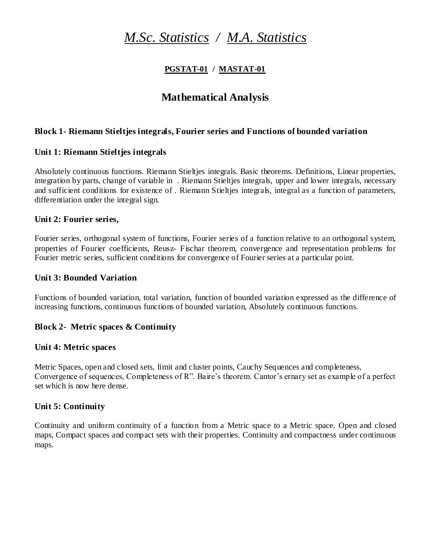# *M.Sc. Statistics / M.A. Statistics*

### **PGSTAT-01 / MASTAT-01**

# **Mathematical Analysis**

### **Block 1- Riemann Stieltjes integrals, Fourier series and Functions of bounded variation**

### **Unit 1: Riemann Stieltjes integrals**

Absolutely continuous functions. Riemann Stieltjes integrals. Basic theorems. Definitions, Linear properties, integration by parts, change of variable in . Riemann Stieltjes integrals, upper and lower integrals, necessary and sufficient conditions for existence of . Riemann Stieltjes integrals, integral as a function of parameters, differentiation under the integral sign.

### **Unit 2: Fourier series,**

Fourier series, orthogonal system of functions, Fourier series of a function relative to an orthogonal system, properties of Fourier coefficients, Reusz- Fischar theorem, convergence and representation problems for Fourier metric series, sufficient conditions for convergence of Fourier series at a particular point.

### **Unit 3: Bounded Variation**

Functions of bounded variation, total variation, function of bounded variation expressed as the difference of increasing functions, continuous functions of bounded variation, Absolutely continuous functions.

### **Block 2- Metric spaces & Continuity**

### **Unit 4: Metric spaces**

Metric Spaces, open and closed sets, limit and cluster points, Cauchy Sequences and completeness, Convergence of sequences, Completeness of R". Baire's theorem. Cantor's ernary set as example of a perfect set which is now here dense.

### **Unit 5: Continuity**

Continuity and uniform continuity of a function from a Metric space to a Metric space. Open and closed maps, Compact spaces and compact sets with their properties. Continuity and compactness under continuous maps.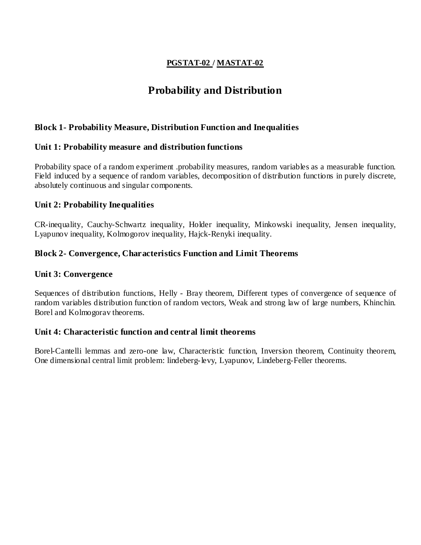### **PGSTAT-02 / MASTAT-02**

# **Probability and Distribution**

### **Block 1- Probability Measure, Distribution Function and Inequalities**

### **Unit 1: Probability measure and distribution functions**

Probability space of a random experiment .probability measures, random variables as a measurable function. Field induced by a sequence of random variables, decomposition of distribution functions in purely discrete, absolutely continuous and singular components.

#### **Unit 2: Probability Inequalities**

CR-inequality, Cauchy-Schwartz inequality, Holder inequality, Minkowski inequality, Jensen inequality, Lyapunov inequality, Kolmogorov inequality, Hajck-Renyki inequality.

### **Block 2- Convergence, Characteristics Function and Limit Theorems**

#### **Unit 3: Convergence**

Sequences of distribution functions, Helly - Bray theorem, Different types of convergence of sequence of random variables distribution function of random vectors, Weak and strong law of large numbers, Khinchin. Borel and Kolmogorav theorems.

#### **Unit 4: Characteristic function and central limit theorems**

Borel-Cantelli lemmas and zero-one law, Characteristic function, Inversion theorem, Continuity theorem, One dimensional central limit problem: lindeberg-levy, Lyapunov, Lindeberg-Feller theorems.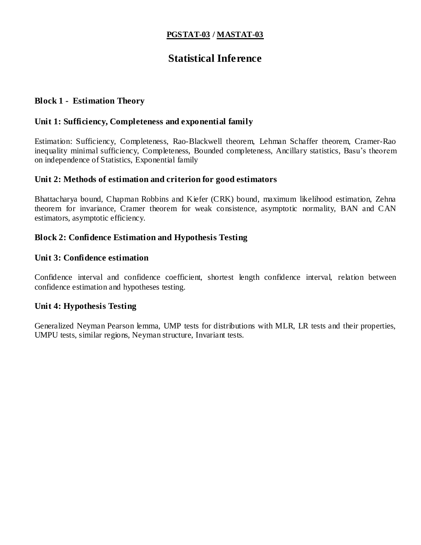### **PGSTAT-03 / MASTAT-03**

# **Statistical Inference**

#### **Block 1 - Estimation Theory**

#### **Unit 1: Sufficiency, Completeness and exponential family**

Estimation: Sufficiency, Completeness, Rao-Blackwell theorem, Lehman Schaffer theorem, Cramer-Rao inequality minimal sufficiency, Completeness, Bounded completeness, Ancillary statistics, Basu's theorem on independence of Statistics, Exponential family

#### **Unit 2: Methods of estimation and criterion for good estimators**

Bhattacharya bound, Chapman Robbins and Kiefer (CRK) bound, maximum likelihood estimation, Zehna theorem for invariance, Cramer theorem for weak consistence, asymptotic normality, BAN and CAN estimators, asymptotic efficiency.

### **Block 2: Confidence Estimation and Hypothesis Testing**

#### **Unit 3: Confidence estimation**

Confidence interval and confidence coefficient, shortest length confidence interval, relation between confidence estimation and hypotheses testing.

#### **Unit 4: Hypothesis Testing**

Generalized Neyman Pearson lemma, UMP tests for distributions with MLR, LR tests and their properties, UMPU tests, similar regions, Neyman structure, Invariant tests.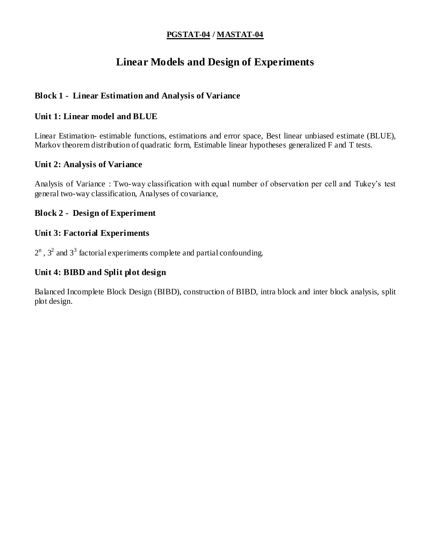### **PGSTAT-04 / MASTAT-04**

# **Linear Models and Design of Experiments**

### **Block 1 - Linear Estimation and Analysis of Variance**

### **Unit 1: Linear model and BLUE**

Linear Estimation- estimable functions, estimations and error space, Best linear unbiased estimate (BLUE), Markov theorem distribution of quadratic form, Estimable linear hypotheses generalized F and T tests.

### **Unit 2: Analysis of Variance**

Analysis of Variance : Two-way classification with equal number of observation per cell and Tukey's test general two-way classification, Analyses of covariance,

### **Block 2 - Design of Experiment**

### **Unit 3: Factorial Experiments**

 $2^n$ ,  $3^2$  and  $3^3$  factorial experiments complete and partial confounding.

### **Unit 4: BIBD and Split plot design**

Balanced Incomplete Block Design (BIBD), construction of BIBD, intra block and inter block analysis, split plot design.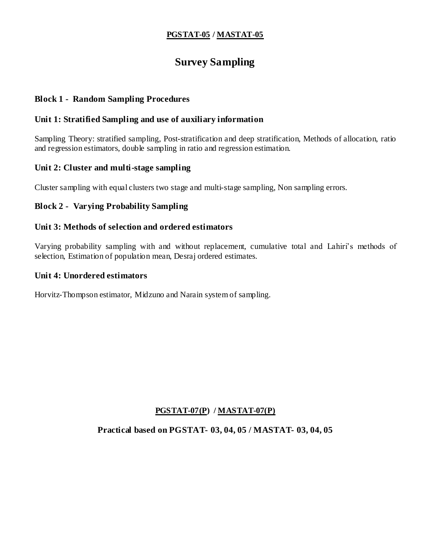### **PGSTAT-05 / MASTAT-05**

# **Survey Sampling**

### **Block 1 - Random Sampling Procedures**

### **Unit 1: Stratified Sampling and use of auxiliary information**

Sampling Theory: stratified sampling, Post-stratification and deep stratification, Methods of allocation, ratio and regression estimators, double sampling in ratio and regression estimation.

### **Unit 2: Cluster and multi-stage sampling**

Cluster sampling with equal clusters two stage and multi-stage sampling, Non sampling errors.

### **Block 2 - Varying Probability Sampling**

### **Unit 3: Methods of selection and ordered estimators**

Varying probability sampling with and without replacement, cumulative total and Lahiri's methods of selection, Estimation of population mean, Desraj ordered estimates.

#### **Unit 4: Unordered estimators**

Horvitz-Thompson estimator, Midzuno and Narain system of sampling.

### **PGSTAT-07(P) / MASTAT-07(P)**

**Practical based on PGSTAT- 03, 04, 05 / MASTAT- 03, 04, 05**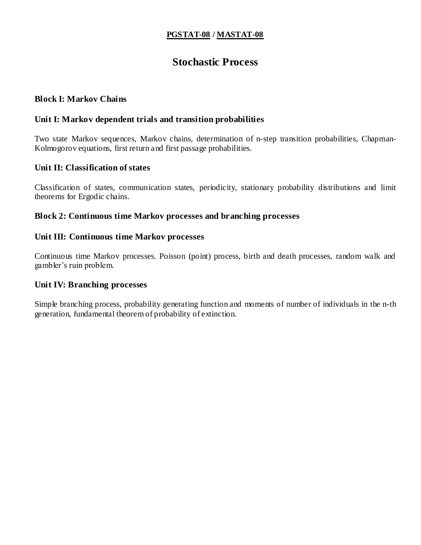### **PGSTAT-08 / MASTAT-08**

# **Stochastic Process**

### **Block I: Markov Chains**

#### **Unit I: Markov dependent trials and transition probabilities**

Two state Markov sequences, Markov chains, determination of n-step transition probabilities, Chapman-Kolmogorov equations, first return and first passage probabilities.

#### **Unit II: Classification of states**

Classification of states, communication states, periodicity, stationary probability distributions and limit theorems for Ergodic chains.

#### **Block 2: Continuous time Markov processes and branching processes**

#### **Unit III: Continuous time Markov processes**

Continuous time Markov processes. Poisson (point) process, birth and death processes, random walk and gambler's ruin problem.

### **Unit IV: Branching processes**

Simple branching process, probability generating function and moments of number of individuals in the n-th generation, fundamental theorem of probability of extinction.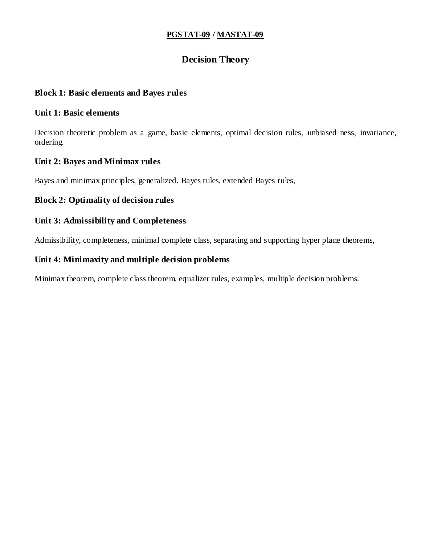### **PGSTAT-09 / MASTAT-09**

### **Decision Theory**

### **Block 1: Basic elements and Bayes rules**

### **Unit 1: Basic elements**

Decision theoretic problem as a game, basic elements, optimal decision rules, unbiased ness, invariance, ordering.

### **Unit 2: Bayes and Minimax rules**

Bayes and minimax principles, generalized. Bayes rules, extended Bayes rules,

### **Block 2: Optimality of decision rules**

### **Unit 3: Admissibility and Completeness**

Admissibility, completeness, minimal complete class, separating and supporting hyper plane theorems,

### **Unit 4: Minimaxity and multiple decision problems**

Minimax theorem, complete class theorem, equalizer rules, examples, multiple decision problems.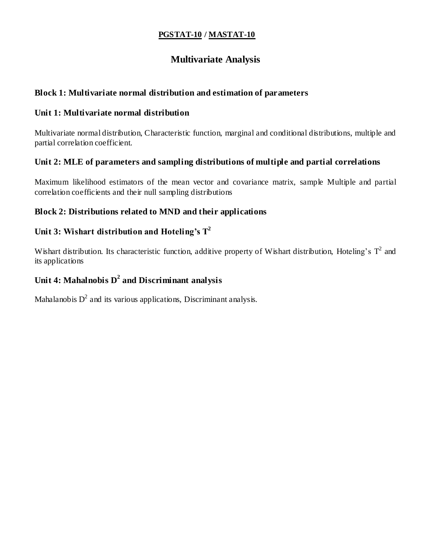### **PGSTAT-10 / MASTAT-10**

### **Multivariate Analysis**

### **Block 1: Multivariate normal distribution and estimation of parameters**

### **Unit 1: Multivariate normal distribution**

Multivariate normal distribution, Characteristic function, marginal and conditional distributions, multiple and partial correlation coefficient.

### **Unit 2: MLE of parameters and sampling distributions of multiple and partial correlations**

Maximum likelihood estimators of the mean vector and covariance matrix, sample Multiple and partial correlation coefficients and their null sampling distributions

### **Block 2: Distributions related to MND and their applications**

### **Unit 3: Wishart distribution and Hoteling's T<sup>2</sup>**

Wishart distribution. Its characteristic function, additive property of Wishart distribution, Hoteling's  $T^2$  and its applications

### **Unit 4: Mahalnobis D<sup>2</sup> and Discriminant analysis**

Mahalanobis  $D^2$  and its various applications, Discriminant analysis.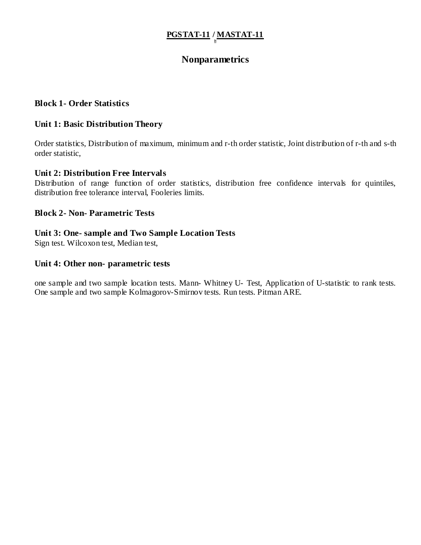# **PGSTAT-11 / MASTAT-11 it**

### **Nonparametrics**

### **Block 1- Order Statistics**

#### **Unit 1: Basic Distribution Theory**

Order statistics, Distribution of maximum, minimum and r-th order statistic, Joint distribution of r-th and s-th order statistic,

#### **Unit 2: Distribution Free Intervals**

Distribution of range function of order statistics, distribution free confidence intervals for quintiles, distribution free tolerance interval, Fooleries limits.

#### **Block 2- Non- Parametric Tests**

#### **Unit 3: One- sample and Two Sample Location Tests**

Sign test. Wilcoxon test, Median test,

#### **Unit 4: Other non- parametric tests**

one sample and two sample location tests. Mann- Whitney U- Test, Application of U-statistic to rank tests. One sample and two sample Kolmagorov-Smirnov tests. Run tests. Pitman ARE.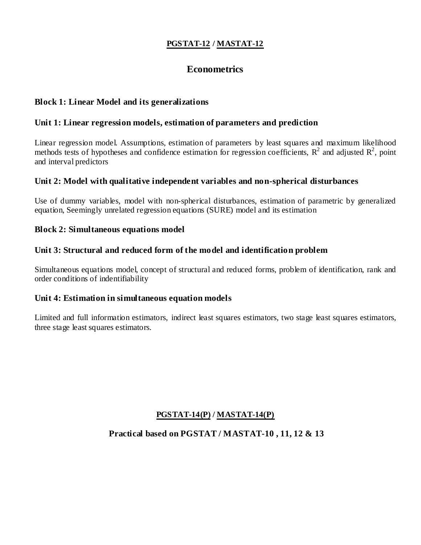### **PGSTAT-12 / MASTAT-12**

### **Econometrics**

### **Block 1: Linear Model and its generalizations**

### **Unit 1: Linear regression models, estimation of parameters and prediction**

Linear regression model. Assumptions, estimation of parameters by least squares and maximum likelihood methods tests of hypotheses and confidence estimation for regression coefficients,  $R^2$  and adjusted  $R^2$ , point and interval predictors

### **Unit 2: Model with qualitative independent variables and non-spherical disturbances**

Use of dummy variables, model with non-spherical disturbances, estimation of parametric by generalized equation, Seemingly unrelated regression equations (SURE) model and its estimation

### **Block 2: Simultaneous equations model**

### **Unit 3: Structural and reduced form of the model and identification problem**

Simultaneous equations model, concept of structural and reduced forms, problem of identification, rank and order conditions of indentifiability

### **Unit 4: Estimation in simultaneous equation models**

Limited and full information estimators, indirect least squares estimators, two stage least squares estimators, three stage least squares estimators.

### **PGSTAT-14(P) / MASTAT-14(P)**

### **Practical based on PGSTAT / MASTAT-10 , 11, 12 & 13**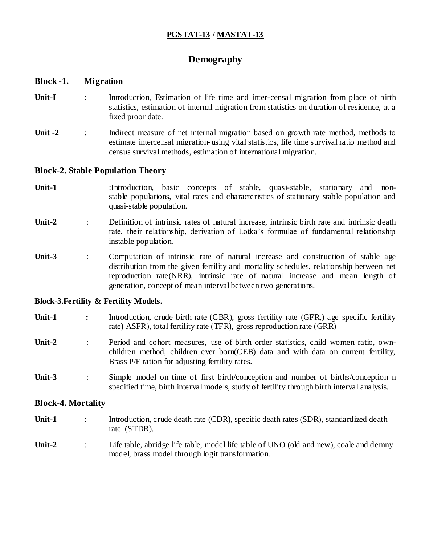### **PGSTAT-13 / MASTAT-13**

### **Demography**

#### **Block -1. Migration**

- Unit-I : Introduction, Estimation of life time and inter-censal migration from place of birth statistics, estimation of internal migration from statistics on duration of residence, at a fixed proor date.
- Unit -2 : Indirect measure of net internal migration based on growth rate method, methods to estimate intercensal migration-using vital statistics, life time survival ratio method and census survival methods, estimation of international migration.

#### **Block-2. Stable Population Theory**

- Unit-1 :Introduction, basic concepts of stable, quasi-stable, stationary and nonstable populations, vital rates and characteristics of stationary stable population and quasi-stable population.
- **Unit-2** : Definition of intrinsic rates of natural increase, intrinsic birth rate and intrinsic death rate, their relationship, derivation of Lotka's formulae of fundamental relationship instable population.
- Unit-3 : Computation of intrinsic rate of natural increase and construction of stable age distribution from the given fertility and mortality schedules, relationship between net reproduction rate(NRR), intrinsic rate of natural increase and mean length of generation, concept of mean interval between two generations.

#### **Block-3.Fertility & Fertility Models.**

- **Unit-1** : Introduction, crude birth rate (CBR), gross fertility rate (GFR,) age specific fertility rate) ASFR), total fertility rate (TFR), gross reproduction rate (GRR)
- **Unit-2** : Period and cohort measures, use of birth order statistics, child women ratio, ownchildren method, children ever born(CEB) data and with data on current fertility, Brass P/F ration for adjusting fertility rates.
- **Unit-3** : Simple model on time of first birth/conception and number of births/conception n specified time, birth interval models, study of fertility through birth interval analysis.

#### **Block-4. Mortality**

- Unit-1 : Introduction, crude death rate (CDR), specific death rates (SDR), standardized death rate (STDR).
- Unit-2 : Life table, abridge life table, model life table of UNO (old and new), coale and demny model, brass model through logit transformation.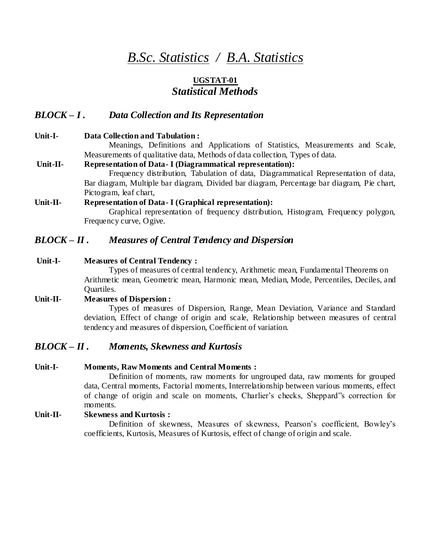# *B.Sc. Statistics / B.A. Statistics*

# **UGSTAT-01** *Statistical Methods*

### *BLOCK – I . Data Collection and Its Representation*

### **Unit-I- Data Collection and Tabulation :**  Meanings, Definitions and Applications of Statistics, Measurements and Scale, Measurements of qualitative data, Methods of data collection, Types of data. **Unit-II- Representation of Data- I (Diagrammatical representation):**  Frequency distribution, Tabulation of data, Diagrammatical Representation of data, Bar diagram, Multiple bar diagram, Divided bar diagram, Percentage bar diagram, Pie chart, Pictogram, leaf chart, **Unit-II- Representation of Data- I (Graphical representation):** Graphical representation of frequency distribution, Histogram, Frequency polygon,

## *BLOCK – II . Measures of Central Tendency and Dispersion*

### **Unit-I- Measures of Central Tendency :**

Frequency curve, Ogive.

Types of measures of central tendency, Arithmetic mean, Fundamental Theorems on Arithmetic mean, Geometric mean, Harmonic mean, Median, Mode, Percentiles, Deciles, and Quartiles.

### **Unit-II- Measures of Dispersion :**

Types of measures of Dispersion, Range, Mean Deviation, Variance and Standard deviation, Effect of change of origin and scale, Relationship between measures of central tendency and measures of dispersion, Coefficient of variation.

### *BLOCK – II . Moments, Skewness and Kurtosis*

#### **Unit-I- Moments, Raw Moments and Central Moments :**

Definition of moments, raw moments for ungrouped data, raw moments for grouped data, Central moments, Factorial moments, Interrelationship between various moments, effect of change of origin and scale on moments, Charlier's checks, Sheppard"s correction for moments.

### **Unit-II- Skewness and Kurtosis :**

Definition of skewness, Measures of skewness, Pearson's coefficient, Bowley's coefficients, Kurtosis, Measures of Kurtosis, effect of change of origin and scale.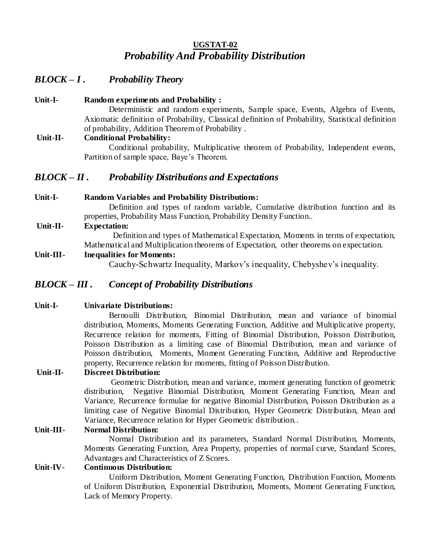## **UGSTAT-02** *Probability And Probability Distribution*

### *BLOCK – I . Probability Theory*

**Unit-I- Random experiments and Probability :**  Deterministic and random experiments, Sample space, Events, Algebra of Events, Axiomatic definition of Probability, Classical definition of Probability, Statistical definition of probability, Addition Theorem of Probability . **Unit-II- Conditional Probability:** 

> Conditional probability, Multiplicative theorem of Probability, Independent events, Partition of sample space, Baye's Theorem.

### *BLOCK – II . Probability Distributions and Expectations*

### **Unit-I- Random Variables and Probability Distributions:**

Definition and types of random variable, Cumulative distribution function and its properties, Probability Mass Function, Probability Density Function..

**Unit-II- Expectation:** 

 Definition and types of Mathematical Expectation, Moments in terms of expectation, Mathematical and Multiplication theorems of Expectation, other theorems on expectation.

### **Unit-III- Inequalities for Moments:**

Cauchy-Schwartz Inequality, Markov's inequality, Chebyshev's inequality.

### *BLOCK – III . Concept of Probability Distributions*

### **Unit-I- Univariate Distributions:**

Bernoulli Distribution, Binomial Distribution, mean and variance of binomial distribution, Moments, Moments Generating Function, Additive and Multiplicative property, Recurrence relation for moments, Fitting of Binomial Distribution, Poisson Distribution, Poisson Distribution as a limiting case of Binomial Distribution, mean and variance of Poisson distribution, Moments, Moment Generating Function, Additive and Reproductive property, Recurrence relation for moments, fitting of Poisson Distribution.

### **Unit-II- Discreet Distribution:**

Geometric Distribution, mean and variance, moment generating function of geometric distribution, Negative Binomial Distribution, Moment Generating Function, Mean and Variance, Recurrence formulae for negative Binomial Distribution, Poisson Distribution as a limiting case of Negative Binomial Distribution, Hyper Geometric Distribution, Mean and Variance, Recurrence relation for Hyper Geometric distribution..

### **Unit-III- Normal Distribution:**

Normal Distribution and its parameters, Standard Normal Distribution, Moments, Moments Generating Function, Area Property, properties of normal curve, Standard Scores, Advantages and Characteristics of Z Scores.

### **Unit-IV- Continuous Distribution:**

Uniform Distribution, Moment Generating Function, Distribution Function, Moments of Uniform Distribution, Exponential Distribution, Moments, Moment Generating Function, Lack of Memory Property.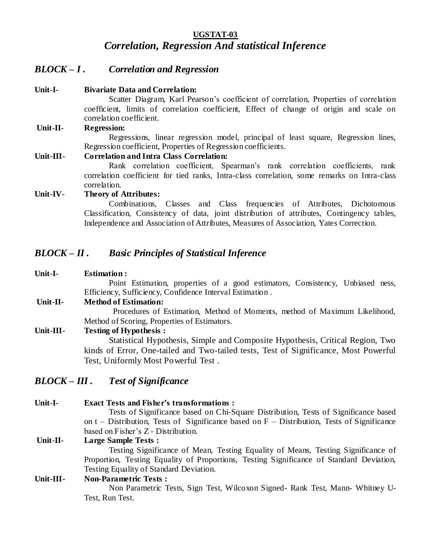### **UGSTAT-03** *Correlation, Regression And statistical Inference*

### *BLOCK – I . Correlation and Regression*

#### **Unit-I- Bivariate Data and Correlation:**

Scatter Diagram, Karl Pearson's coefficient of correlation, Properties of correlation coefficient, limits of correlation coefficient, Effect of change of origin and scale on correlation coefficient.

#### **Unit-II- Regression:**

Regressions, linear regression model, principal of least square, Regression lines, Regression coefficient, Properties of Regression coefficients.

#### **Unit-III- Correlation and Intra Class Correlation:**

Rank correlation coefficient, Spearman's rank correlation coefficients, rank correlation coefficient for tied ranks, Intra-class correlation, some remarks on Intra-class correlation.

#### **Unit-IV- Theory of Attributes:**

Combinations, Classes and Class frequencies of Attributes, Dichotomous Classification, Consistency of data, joint distribution of attributes, Contingency tables, Independence and Association of Attributes, Measures of Association, Yates Correction.

### *BLOCK – II . Basic Principles of Statistical Inference*

### **Unit-I- Estimation :**  Point Estimation, properties of a good estimators, Consistency, Unbiased ness, Efficiency, Sufficiency, Confidence Interval Estimation . **Unit-II- Method of Estimation:**  Procedures of Estimation, Method of Moments, method of Maximum Likelihood, Method of Scoring, Properties of Estimators. **Unit-III- Testing of Hypothesis :**  Statistical Hypothesis, Simple and Composite Hypothesis, Critical Region, Two

kinds of Error, One-tailed and Two-tailed tests, Test of Significance, Most Powerful Test, Uniformly Most Powerful Test .

### *BLOCK – III . Test of Significance*

**Unit-I- Exact Tests and Fisher's transformations :**  Tests of Significance based on Chi-Square Distribution, Tests of Significance based on  $t$  – Distribution, Tests of Significance based on  $F$  – Distribution, Tests of Significance based on Fisher's Z - Distribution. **Unit-II- Large Sample Tests :**  Testing Significance of Mean, Testing Equality of Means, Testing Significance of Proportion, Testing Equality of Proportions, Testing Significance of Standard Deviation, Testing Equality of Standard Deviation. **Unit-III- Non-Parametric Tests :**  Non Parametric Tests, Sign Test, Wilcoxon Signed- Rank Test, Mann- Whitney U-Test, Run Test.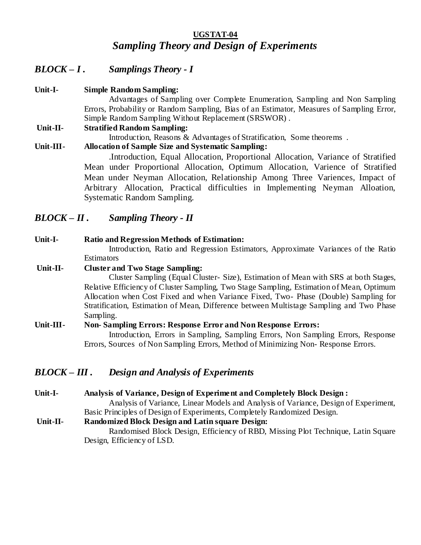### **UGSTAT-04** *Sampling Theory and Design of Experiments*

## *BLOCK – I . Samplings Theory - I*

**Unit-I- Simple Random Sampling:** Advantages of Sampling over Complete Enumeration, Sampling and Non Sampling Errors, Probability or Random Sampling, Bias of an Estimator, Measures of Sampling Error, Simple Random Sampling Without Replacement (SRSWOR) . **Unit-II- Stratified Random Sampling:** Introduction, Reasons & Advantages of Stratification, Some theorems . **Unit-III- Allocation of Sample Size and Systematic Sampling:**  .Introduction, Equal Allocation, Proportional Allocation, Variance of Stratified Mean under Proportional Allocation, Optimum Allocation, Varience of Stratified Mean under Neyman Allocation, Relationship Among Three Variences, Impact of Arbitrary Allocation, Practical difficulties in Implementing Neyman Alloation,

*BLOCK – II . Sampling Theory - II*

### **Unit-I- Ratio and Regression Methods of Estimation:**

Systematic Random Sampling.

Introduction, Ratio and Regression Estimators, Approximate Variances of the Ratio **Estimators** 

### **Unit-II- Cluster and Two Stage Sampling:**

Cluster Sampling (Equal Cluster- Size), Estimation of Mean with SRS at both Stages, Relative Efficiency of Cluster Sampling, Two Stage Sampling, Estimation of Mean, Optimum Allocation when Cost Fixed and when Variance Fixed, Two- Phase (Double) Sampling for Stratification, Estimation of Mean, Difference between Multistage Sampling and Two Phase Sampling.

### **Unit-III- Non- Sampling Errors: Response Error and Non Response Errors:**

Introduction, Errors in Sampling, Sampling Errors, Non Sampling Errors, Response Errors, Sources of Non Sampling Errors, Method of Minimizing Non- Response Errors.

### *BLOCK – III . Design and Analysis of Experiments*

**Unit-I- Analysis of Variance, Design of Experiment and Completely Block Design :** 

Analysis of Variance, Linear Models and Analysis of Variance, Design of Experiment, Basic Principles of Design of Experiments, Completely Randomized Design.

**Unit-II- Randomized Block Design and Latin square Design:**  Randomised Block Design, Efficiency of RBD, Missing Plot Technique, Latin Square

Design, Efficiency of LSD.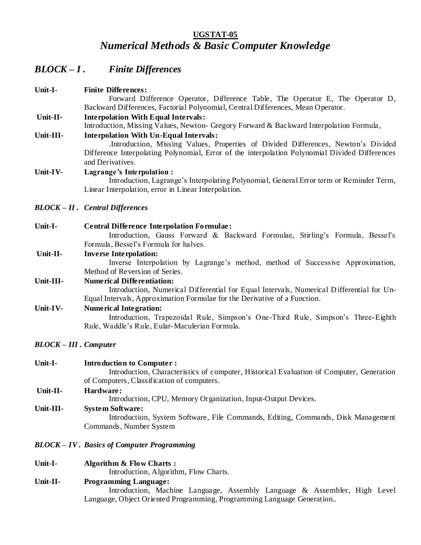### **UGSTAT-05** *Numerical Methods & Basic Computer Knowledge*

# *BLOCK – I . Finite Differences*

| Unit-I-                      | <b>Finite Differences:</b>                                                                                           |
|------------------------------|----------------------------------------------------------------------------------------------------------------------|
|                              | Forward Difference Operator, Difference Table, The Operator E, The Operator D,                                       |
|                              | Backward Differences, Factorial Polynomial, Central Differences, Mean Operator.                                      |
| Unit-II-                     | <b>Interpolation With Equal Intervals:</b>                                                                           |
|                              | Introduction, Missing Values, Newton- Gregory Forward & Backward Interpolation Formula,                              |
| Unit-III-                    | <b>Interpolation With Un-Equal Intervals:</b>                                                                        |
|                              | Introduction, Missing Values, Properties of Divided Differences, Newton's Divided                                    |
|                              | Difference Interpolating Polynomial, Error of the interpolation Polynomial Divided Differences                       |
|                              | and Derivatives.                                                                                                     |
| Unit-IV-                     | Lagrange's Interpolation:<br>Introduction, Lagrange's Interpolating Polynomial, General Error term or Reminder Term, |
|                              | Linear Interpolation, error in Linear Interpolation.                                                                 |
|                              | <b>BLOCK – II.</b> Central Differences                                                                               |
| Unit-I-                      | <b>Central Difference Interpolation Formulae:</b>                                                                    |
|                              | Introduction, Gauss Forward & Backward Formulae, Stirling's Formula, Bessel's                                        |
|                              | Formula, Bessel's Formula for halves.                                                                                |
| Unit-II-                     | <b>Inverse Interpolation:</b>                                                                                        |
|                              | Inverse Interpolation by Lagrange's method, method of Successive Approximation,                                      |
|                              | Method of Reversion of Series.                                                                                       |
| Unit-III-                    | <b>Numerical Differentiation:</b>                                                                                    |
|                              | Introduction, Numerical Differential for Equal Intervals, Numerical Differential for Un-                             |
|                              | Equal Intervals, Approximation Formulae for the Derivative of a Function.                                            |
| Unit-IV-                     | <b>Numerical Integration:</b>                                                                                        |
|                              | Introduction, Trapezoidal Rule, Simpson's One-Third Rule, Simpson's Three-Eighth                                     |
|                              | Rule, Waddle's Rule, Eular-Maculerian Formula.                                                                       |
| <b>BLOCK – III. Computer</b> |                                                                                                                      |
|                              |                                                                                                                      |

| Unit-I-   | <b>Introduction to Computer:</b><br>Introduction, Characteristics of computer, Historical Evaluation of Computer, Generation<br>of Computers, Classification of computers. |
|-----------|----------------------------------------------------------------------------------------------------------------------------------------------------------------------------|
| Unit-II-  | Hardware:<br>Introduction, CPU, Memory Organization, Input-Output Devices.                                                                                                 |
| Unit-III- | <b>System Software:</b><br>Introduction, System Software, File Commands, Editing, Commands, Disk Management<br>Commands, Number System                                     |

- *BLOCK – IV . Basics of Computer Programming*
- **Unit-I- Algorithm & Flow Charts :**

Introduction, Algorithm, Flow Charts.

**Unit-II- Programming Language:** 

Introduction, Machine Language, Assembly Language & Assembler, High Level Language, Object Oriented Programming, Programming Language Generation..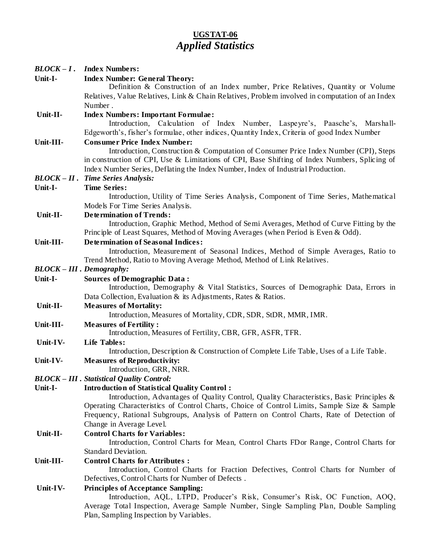### **UGSTAT-06** *Applied Statistics*

| $BLOCK-I$ . | <b>Index Numbers:</b>                                                                                                                                                                 |
|-------------|---------------------------------------------------------------------------------------------------------------------------------------------------------------------------------------|
| Unit-I-     | <b>Index Number: General Theory:</b><br>Definition & Construction of an Index number, Price Relatives, Quantity or Volume                                                             |
|             | Relatives, Value Relatives, Link & Chain Relatives, Problem involved in computation of an Index                                                                                       |
|             | Number.                                                                                                                                                                               |
| Unit-II-    | <b>Index Numbers: Important Formulae:</b>                                                                                                                                             |
|             | Introduction, Calculation of Index Number, Laspeyre's, Paasche's, Marshall-                                                                                                           |
|             | Edgeworth's, fisher's formulae, other indices, Quantity Index, Criteria of good Index Number                                                                                          |
| Unit-III-   | <b>Consumer Price Index Number:</b>                                                                                                                                                   |
|             | Introduction, Construction & Computation of Consumer Price Index Number (CPI), Steps<br>in construction of CPI, Use & Limitations of CPI, Base Shifting of Index Numbers, Splicing of |
|             | Index Number Series, Deflating the Index Number, Index of Industrial Production.                                                                                                      |
|             | <b>BLOCK-II.</b> Time Series Analysis:                                                                                                                                                |
| Unit-I-     | <b>Time Series:</b><br>Introduction, Utility of Time Series Analysis, Component of Time Series, Mathematical                                                                          |
|             | Models For Time Series Analysis.                                                                                                                                                      |
| Unit-II-    | <b>Determination of Trends:</b>                                                                                                                                                       |
|             | Introduction, Graphic Method, Method of Semi Averages, Method of Curve Fitting by the                                                                                                 |
|             | Principle of Least Squares, Method of Moving Averages (when Period is Even & Odd).                                                                                                    |
| Unit-III-   | <b>Determination of Seasonal Indices:</b>                                                                                                                                             |
|             | Introduction, Measurement of Seasonal Indices, Method of Simple Averages, Ratio to                                                                                                    |
|             | Trend Method, Ratio to Moving Average Method, Method of Link Relatives.                                                                                                               |
|             | <b>BLOCK-III</b> . Demography:                                                                                                                                                        |
| Unit-I-     | <b>Sources of Demographic Data:</b><br>Introduction, Demography & Vital Statistics, Sources of Demographic Data, Errors in                                                            |
|             | Data Collection, Evaluation & its Adjustments, Rates & Ratios.                                                                                                                        |
| Unit-II-    | <b>Measures of Mortality:</b><br>Introduction, Measures of Mortality, CDR, SDR, StDR, MMR, IMR.                                                                                       |
| Unit-III-   | <b>Measures of Fertility:</b>                                                                                                                                                         |
|             | Introduction, Measures of Fertility, CBR, GFR, ASFR, TFR.                                                                                                                             |
| Unit-IV-    | <b>Life Tables:</b>                                                                                                                                                                   |
|             | Introduction, Description & Construction of Complete Life Table, Uses of a Life Table.                                                                                                |
| Unit-IV-    | <b>Measures of Reproductivity:</b>                                                                                                                                                    |
|             | Introduction, GRR, NRR.                                                                                                                                                               |
|             | <b>BLOCK - III</b> . Statistical Quality Control:                                                                                                                                     |
| Unit-I-     | <b>Introduction of Statistical Quality Control:</b>                                                                                                                                   |
|             | Introduction, Advantages of Quality Control, Quality Characteristics, Basic Principles &                                                                                              |
|             | Operating Characteristics of Control Charts, Choice of Control Limits, Sample Size & Sample                                                                                           |
|             | Frequency, Rational Subgroups, Analysis of Pattern on Control Charts, Rate of Detection of                                                                                            |
|             | Change in Average Level.                                                                                                                                                              |
| Unit-II-    | <b>Control Charts for Variables:</b>                                                                                                                                                  |
|             | Introduction, Control Charts for Mean, Control Charts FDor Range, Control Charts for                                                                                                  |
|             | <b>Standard Deviation.</b>                                                                                                                                                            |
| Unit-III-   | <b>Control Charts for Attributes:</b>                                                                                                                                                 |
|             | Introduction, Control Charts for Fraction Defectives, Control Charts for Number of                                                                                                    |
|             | Defectives, Control Charts for Number of Defects.                                                                                                                                     |
| Unit-IV-    | <b>Principles of Acceptance Sampling:</b>                                                                                                                                             |
|             | Introduction, AQL, LTPD, Producer's Risk, Consumer's Risk, OC Function, AOQ,                                                                                                          |
|             | Average Total Inspection, Average Sample Number, Single Sampling Plan, Double Sampling                                                                                                |
|             | Plan, Sampling Inspection by Variables.                                                                                                                                               |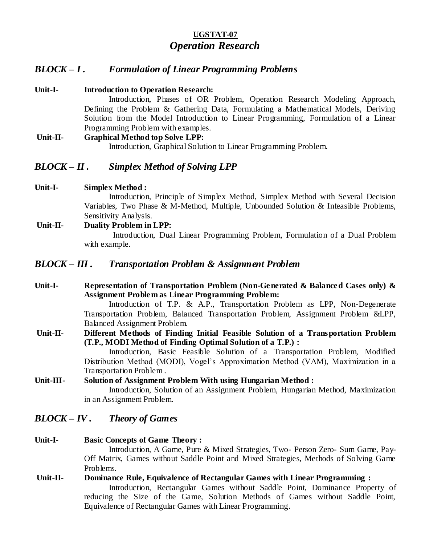## **UGSTAT-07** *Operation Research*

### *BLOCK – I . Formulation of Linear Programming Problems*

- **Unit-I- Introduction to Operation Research:**  Introduction, Phases of OR Problem, Operation Research Modeling Approach, Defining the Problem & Gathering Data, Formulating a Mathematical Models, Deriving Solution from the Model Introduction to Linear Programming, Formulation of a Linear Programming Problem with examples. **Unit-II- Graphical Method top Solve LPP:** 
	- Introduction, Graphical Solution to Linear Programming Problem.

### *BLOCK – II . Simplex Method of Solving LPP*

**Unit-I- Simplex Method :** 

Introduction, Principle of Simplex Method, Simplex Method with Several Decision Variables, Two Phase & M-Method, Multiple, Unbounded Solution & Infeasible Problems, Sensitivity Analysis.

**Unit-II- Duality Problem in LPP:**  Introduction, Dual Linear Programming Problem, Formulation of a Dual Problem with example.

### *BLOCK – III . Transportation Problem & Assignment Problem*

**Unit-I- Representation of Transportation Problem (Non-Generated & Balanced Cases only) & Assignment Problem as Linear Programming Problem:** 

Introduction of T.P. & A.P., Transportation Problem as LPP, Non-Degenerate Transportation Problem, Balanced Transportation Problem, Assignment Problem &LPP, Balanced Assignment Problem.

**Unit-II- Different Methods of Finding Initial Feasible Solution of a Transportation Problem (T.P., MODI Method of Finding Optimal Solution of a T.P.) :** 

Introduction, Basic Feasible Solution of a Transportation Problem, Modified Distribution Method (MODI), Vogel's Approximation Method (VAM), Maximization in a Transportation Problem .

**Unit-III- Solution of Assignment Problem With using Hungarian Method :**  Introduction, Solution of an Assignment Problem, Hungarian Method, Maximization in an Assignment Problem.

### *BLOCK – IV . Theory of Games*

### **Unit-I- Basic Concepts of Game Theory :**

Introduction, A Game, Pure & Mixed Strategies, Two- Person Zero- Sum Game, Pay-Off Matrix, Games without Saddle Point and Mixed Strategies, Methods of Solving Game Problems.

**Unit-II- Dominance Rule, Equivalence of Rectangular Games with Linear Programming :**  Introduction, Rectangular Games without Saddle Point, Dominance Property of reducing the Size of the Game, Solution Methods of Games without Saddle Point, Equivalence of Rectangular Games with Linear Programming.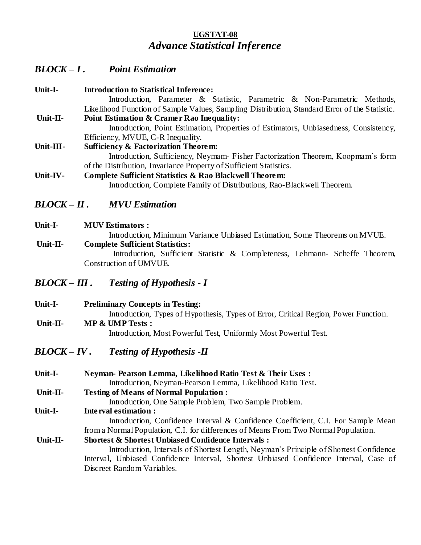### **UGSTAT-08** *Advance Statistical Inference*

# *BLOCK – I . Point Estimation*

| Unit-I-   | <b>Introduction to Statistical Inference:</b>                                                 |
|-----------|-----------------------------------------------------------------------------------------------|
|           | Introduction, Parameter & Statistic, Parametric & Non-Parametric Methods,                     |
|           | Likelihood Function of Sample Values, Sampling Distribution, Standard Error of the Statistic. |
| Unit-II-  | Point Estimation & Cramer Rao Inequality:                                                     |
|           | Introduction, Point Estimation, Properties of Estimators, Unbiasedness, Consistency,          |
|           | Efficiency, MVUE, C-R Inequality.                                                             |
| Unit-III- | <b>Sufficiency &amp; Factorization Theorem:</b>                                               |
|           | Introduction, Sufficiency, Neymam-Fisher Factorization Theorem, Koopmam's form                |
|           | of the Distribution, Invariance Property of Sufficient Statistics.                            |
| Unit-IV-  | <b>Complete Sufficient Statistics &amp; Rao Black well Theorem:</b>                           |
|           | Introduction, Complete Family of Distributions, Rao-Blackwell Theorem.                        |
|           |                                                                                               |

### *BLOCK – II . MVU Estimation*

**Unit-I- MUV Estimators :** 

Introduction, Minimum Variance Unbiased Estimation, Some Theorems on MVUE.

**Unit-II- Complete Sufficient Statistics:**  Introduction, Sufficient Statistic & Completeness, Lehmann- Scheffe Theorem, Construction of UMVUE.

### *BLOCK – III . Testing of Hypothesis - I*

**Unit-I- Preliminary Concepts in Testing:**  Introduction, Types of Hypothesis, Types of Error, Critical Region, Power Function. **Unit-II- MP & UMP Tests :**  Introduction, Most Powerful Test, Uniformly Most Powerful Test.

*BLOCK – IV . Testing of Hypothesis -II*

| Unit-I-    | Neyman- Pearson Lemma, Likelihood Ratio Test & Their Uses:                             |
|------------|----------------------------------------------------------------------------------------|
|            | Introduction, Neyman-Pearson Lemma, Likelihood Ratio Test.                             |
| Unit-II-   | <b>Testing of Means of Normal Population:</b>                                          |
|            | Introduction, One Sample Problem, Two Sample Problem.                                  |
| Unit-I-    | <b>Interval estimation:</b>                                                            |
|            | Introduction, Confidence Interval & Confidence Coefficient, C.I. For Sample Mean       |
|            | from a Normal Population, C.I. for differences of Means From Two Normal Population.    |
| $Unit-II-$ | <b>Shortest &amp; Shortest Unbiased Confidence Intervals:</b>                          |
|            | Introduction, Intervals of Shortest Length, Neyman's Principle of Shortest Confidence  |
|            | Interval, Unbiased Confidence Interval, Shortest Unbiased Confidence Interval, Case of |
|            | Discreet Random Variables.                                                             |